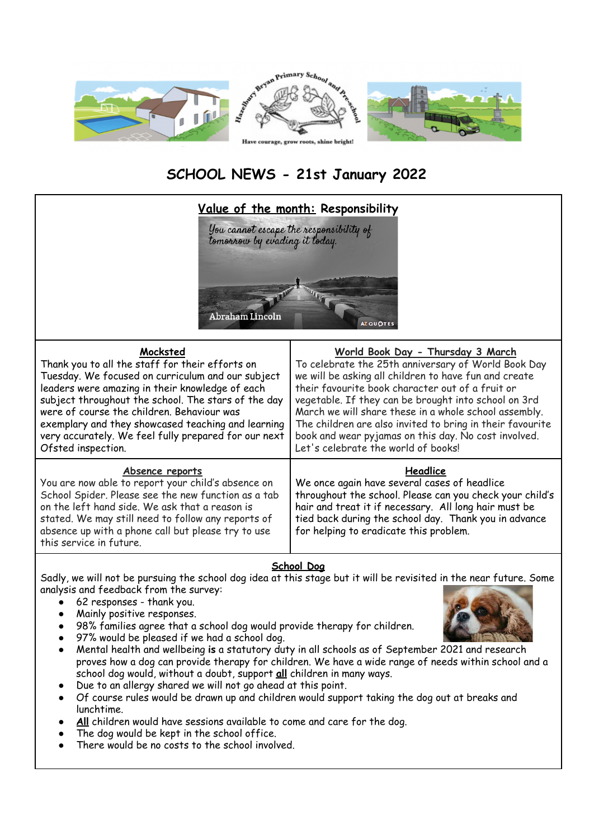

# **SCHOOL NEWS - 21st January 2022**



### **School Dog**

Sadly, we will not be pursuing the school dog idea at this stage but it will be revisited in the near future. Some analysis and feedback from the survey:

- 62 responses thank you.
- Mainly positive responses.
- 98% families agree that a school dog would provide therapy for children.
- 97% would be pleased if we had a school dog.
- Mental health and wellbeing **is** a statutory duty in all schools as of September 2021 and research proves how a dog can provide therapy for children. We have a wide range of needs within school and a school dog would, without a doubt, support **all** children in many ways.
- Due to an allergy shared we will not go ahead at this point.
- Of course rules would be drawn up and children would support taking the dog out at breaks and lunchtime.
- All children would have sessions available to come and care for the dog.
- The dog would be kept in the school office.
- There would be no costs to the school involved.